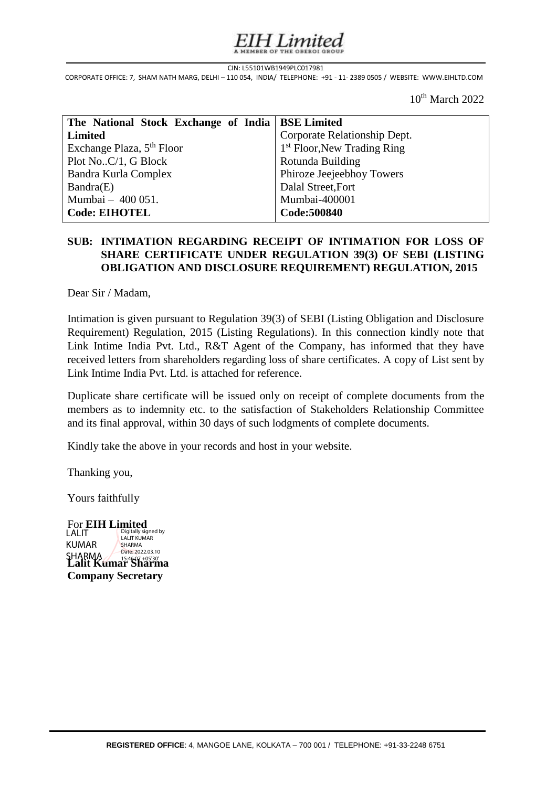# Limited

#### CIN: L55101WB1949PLC017981

CIN: L55101WB1949PLC017981<br>CORPORATE OFFICE: 7, SHAM NATH MARG, DELHI – 110 054, INDIA/ TELEPHONE: +91 - 11- 2389 0505 / WEBSITE: WWW.EIHLTD.COM s

 $10^{th}$  March 2022

| The National Stock Exchange of India   BSE Limited |                               |
|----------------------------------------------------|-------------------------------|
| <b>Limited</b>                                     | Corporate Relationship Dept.  |
| Exchange Plaza, 5 <sup>th</sup> Floor              | $1st$ Floor, New Trading Ring |
| Plot NoC/1, G Block                                | Rotunda Building              |
| Bandra Kurla Complex                               | Phiroze Jeejeebhoy Towers     |
| Bandra(E)                                          | Dalal Street, Fort            |
| Mumbai - 400 051.                                  | Mumbai-400001                 |
| <b>Code: EIHOTEL</b>                               | Code: 500840                  |

### | **SUB: INTIMATION REGARDING RECEIPT OF INTIMATION FOR LOSS OF**  I **OBLIGATION AND DISCLOSURE REQUIREMENT) REGULATION, 2015 SHARE CERTIFICATE UNDER REGULATION 39(3) OF SEBI (LISTING**

Dear Sir / Madam,

Intimation is given pursuant to Regulation 39(3) of SEBI (Listing Obligation and Disclosure Requirement) Regulation, 2015 (Listing Regulations). In this connection kindly note that Link Intime India Pvt. Ltd., R&T Agent of the Company, has informed that they have received letters from shareholders regarding loss of share certificates. A copy of List sent by Link Intime India Pvt. Ltd. is attached for reference.

Duplicate share certificate will be issued only on receipt of complete documents from the members as to indemnity etc. to the satisfaction of Stakeholders Relationship Committee and its final approval, within 30 days of such lodgments of complete documents.

Kindly take the above in your records and host in your website.

Thanking you,

Yours faithfully

For **EIH Limited** SHARMA<br>**Lalit Kumar Sharma Company Secretary** LALIT KUMAR Digitally signed by LALIT KUMAR SHARMA Date: 2022.03.10